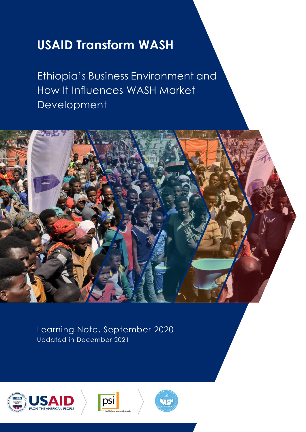# **USAID Transform WASH**

Ethiopia's Business Environment and How It Influences WASH Market Development



Learning Note, September 2020 Updated in December 2021





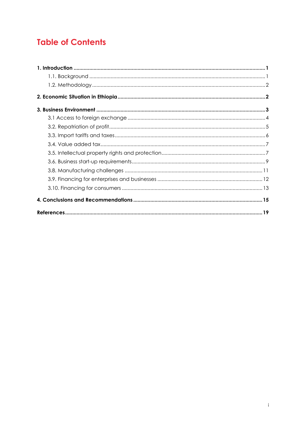# **Table of Contents**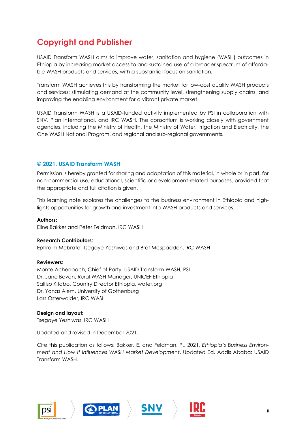# **Copyright and Publisher**

USAID Transform WASH aims to improve water, sanitation and hygiene (WASH) outcomes in Ethiopia by increasing market access to and sustained use of a broader spectrum of affordable WASH products and services, with a substantial focus on sanitation.

Transform WASH achieves this by transforming the market for low-cost quality WASH products and services: stimulating demand at the community level, strengthening supply chains, and improving the enabling environment for a vibrant private market.

USAID Transform WASH is a USAID-funded activity implemented by PSI in collaboration with SNV, Plan International, and IRC WASH. The consortium is working closely with government agencies, including the Ministry of Health, the Ministry of Water, Irrigation and Electricity, the One WASH National Program, and regional and sub-regional governments.

#### **© 2021, USAID Transform WASH**

Permission is hereby granted for sharing and adaptation of this material, in whole or in part, for non-commercial use, educational, scientific or development-related purposes, provided that the appropriate and full citation is given.

This learning note explores the challenges to the business environment in Ethiopia and highlights opportunities for growth and investment into WASH products and services.

**Authors:** 

Eline Bakker and Peter Feldman, IRC WASH

#### **Research Contributors:**

Ephraim Mebrate, Tsegaye Yeshiwas and Bret McSpadden, IRC WASH

#### **Reviewers:**

Monte Achenbach, Chief of Party, USAID Transform WASH, PSI Dr. Jane Bevan, Rural WASH Manager, UNICEF Ethiopia Salfiso Kitabo, Country Director Ethiopia, water.org Dr. Yonas Alem, University of Gothenburg Lars Osterwalder, IRC WASH

#### **Design and layout:**

Tsegaye Yeshiwas, IRC WASH

Updated and revised in December 2021.

Cite this publication as follows: Bakker, E. and Feldman, P., 2021*. Ethiopia's Business Environment and How It Influences WASH Market Development*. Updated Ed. Addis Ababa: USAID Transform WASH.







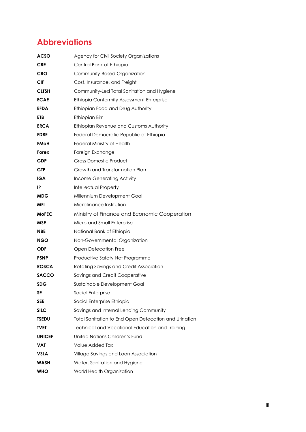# **Abbreviations**

| ACSO          | Agency for Civil Society Organizations                |
|---------------|-------------------------------------------------------|
| <b>CBE</b>    | Central Bank of Ethiopia                              |
| CBO           | Community-Based Organization                          |
| CIF           | Cost, Insurance, and Freight                          |
| <b>CLTSH</b>  | Community-Led Total Sanitation and Hygiene            |
| <b>ECAE</b>   | Ethiopia Conformity Assessment Enterprise             |
| <b>EFDA</b>   | Ethiopian Food and Drug Authority                     |
| ETB           | Ethiopian Birr                                        |
| <b>ERCA</b>   | Ethiopian Revenue and Customs Authority               |
| <b>FDRE</b>   | Federal Democratic Republic of Ethiopia               |
| FMoH          | Federal Ministry of Health                            |
| Forex         | Foreign Exchange                                      |
| GDP           | <b>Gross Domestic Product</b>                         |
| <b>GTP</b>    | Growth and Transformation Plan                        |
| IGA           | Income Generating Activity                            |
| IP            | <b>Intellectual Property</b>                          |
| MDG           | Millennium Development Goal                           |
| MFI           | Microfinance Institution                              |
| <b>MoFEC</b>  | Ministry of Finance and Economic Cooperation          |
| MSE           | Micro and Small Enterprise                            |
| <b>NBE</b>    | National Bank of Ethiopia                             |
| NGO           | Non-Governmental Organization                         |
| ODF           | Open Defecation Free                                  |
| PSNP          | Productive Safety Net Programme                       |
| <b>ROSCA</b>  | Rotating Savings and Credit Association               |
| <b>SACCO</b>  | Savings and Credit Cooperative                        |
| <b>SDG</b>    | Sustainable Development Goal                          |
| SE            | Social Enterprise                                     |
| <b>SEE</b>    | Social Enterprise Ethiopia                            |
| SILC          | Savings and Internal Lending Community                |
| <b>TSEDU</b>  | Total Sanitation to End Open Defecation and Urination |
| TVET          | Technical and Vocational Education and Training       |
| <b>UNICEF</b> | United Nations Children's Fund                        |
| VAT           | Value Added Tax                                       |
| VSLA          | Village Savings and Loan Association                  |
| WASH          | Water, Sanitation and Hygiene                         |
| WHO           | World Health Organization                             |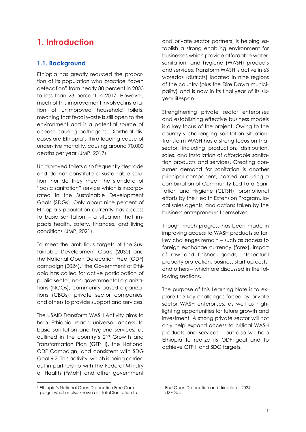### <span id="page-4-0"></span>**1. Introduction**

#### <span id="page-4-1"></span>**1.1. Background**

Ethiopia has greatly reduced the proportion of its population who practice "open defecation" from nearly 80 percent in 2000 to less than 23 percent in 2017. However, much of this improvement involved installation of unimproved household toilets, meaning that fecal waste is still open to the environment and is a potential source of disease-causing pathogens. Diarrheal diseases are Ethiopia's third leading cause of under-five mortality, causing around 70,000 deaths per year (JMP, 2017).

Unimproved toilets also frequently degrade and do not constitute a sustainable solution, nor do they meet the standard of "basic sanitation" service which is incorporated in the Sustainable Development Goals (SDGs). Only about nine percent of Ethiopia's population currently has access to basic sanitation – a situation that impacts health, safety, finances, and living conditions (JMP, 2021).

To meet the ambitious targets of the Sustainable Development Goals (2030) and the National Open Defecation Free (ODF) campaign (2024), <sup>1</sup> the Government of Ethiopia has called for active participation of public sector, non-governmental organizations (NGOs), community-based organizations (CBOs), private sector companies, and others to provide support and services.

The USAID Transform WASH Activity aims to help Ethiopia reach universal access to basic sanitation and hygiene services, as outlined in the country's 2nd Growth and Transformation Plan (GTP II), the National ODF Campaign, and consistent with SDG Goal 6.2. This activity, which is being carried out in partnership with the Federal Ministry of Health (FMoH) and other government and private sector partners, is helping establish a strong enabling environment for businesses which provide affordable water, sanitation, and hygiene (WASH) products and services. Transform WASH is active in 63 woredas (districts) located in nine regions of the country (plus the Dire Dawa municipality) and is now in its final year of its sixyear lifespan.

Strengthening private sector enterprises and establishing effective business models is a key focus of the project. Owing to the country's challenging sanitation situation, Transform WASH has a strong focus on that sector, including production, distribution, sales, and installation of affordable sanitation products and services. Creating consumer demand for sanitation is another principal component, carried out using a combination of Community-Led Total Sanitation and Hygiene (CLTSH), promotional efforts by the Health Extension Program, local sales agents, and actions taken by the business entrepreneurs themselves.

Though much progress has been made in improving access to WASH products so far, key challenges remain – such as access to foreign exchange currency (forex), import of raw and finished goods, intellectual property protection, business start-up costs, and others – which are discussed in the following sections.

The purpose of this Learning Note is to explore the key challenges faced by private sector WASH enterprises, as well as highlighting opportunities for future growth and investment. A strong private sector will not only help expand access to critical WASH products and services – but also will help Ethiopia to realize its ODF goal and to achieve GTP II and SDG targets.

End Open Defecation and Urination – 2024" (TSEDU).

<sup>1</sup> Ethiopia's National Open Defecation Free Campaign, which is also known as "Total Sanitation to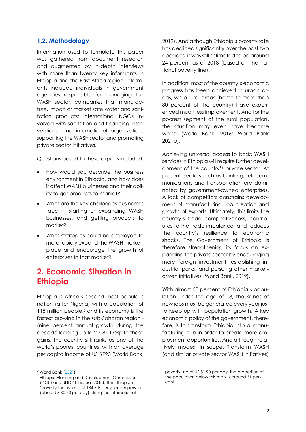#### <span id="page-5-0"></span>**1.2. Methodology**

Information used to formulate this paper was gathered from document research and augmented by in-depth interviews with more than twenty key informants in Ethiopia and the East Africa region. Informants included individuals in government agencies responsible for managing the WASH sector; companies that manufacture, import or market safe water and sanitation products; international NGOs involved with sanitation and financing interventions; and international organizations supporting the WASH sector and promoting private sector initiatives.

Questions posed to these experts included:

- How would you describe the business environment in Ethiopia, and how does it affect WASH businesses and their ability to get products to market?
- What are the key challenges businesses face in starting or expanding WASH businesses, and getting products to market?
- What strategies could be employed to more rapidly expand the WASH marketplace and encourage the growth of enterprises in that market?

### <span id="page-5-1"></span>**2. Economic Situation in Ethiopia**

Ethiopia is Africa's second most populous nation (after Nigeria) with a population of 115 million people,<sup>2</sup> and its economy is the fastest growing in the sub-Saharan region - (nine percent annual growth during the decade leading up to 2018). Despite these gains, the country still ranks as one of the world's poorest countries, with an average per capita income of US \$790 (World Bank, 2019). And although Ethiopia's poverty rate has declined significantly over the past two decades, it was still estimated to be around 24 percent as of 2018 (based on the national poverty line). 3

In addition, most of the country's economic progress has been achieved in urban areas, while rural areas (home to more than 80 percent of the country) have experienced much less improvement. And for the poorest segment of the rural population, the situation may even have become worse (World Bank, 2016; World Bank 2021b).

Achieving universal access to basic WASH services in Ethiopia will require further development of the country's private sector. At present, sectors such as banking, telecommunications and transportation are dominated by government-owned enterprises. A lack of competitors constrains development of manufacturing, job creation and growth of exports. Ultimately, this limits the country's trade competitiveness, contributes to the trade imbalance, and reduces the country's resilience to economic shocks. The Government of Ethiopia is therefore strengthening its focus on expanding the private sector by encouraging more foreign investment, establishing industrial parks, and pursuing other marketdriven initiatives (World Bank, 2019).

With almost 50 percent of Ethiopia's population under the age of 18, thousands of new jobs must be generated every year just to keep up with population growth. A key economic policy of the government, therefore, is to transform Ethiopia into a manufacturing hub in order to create more employment opportunities. And although relatively modest in scope, Transform WASH (and similar private sector WASH initiatives)

<sup>&</sup>lt;sup>2</sup> World Bank [\(2021\)](https://data.worldbank.org/indicator/SP.POP.TOTL?locations=ET).

<sup>3</sup> Ethiopia Planning and Development Commission (2018) and UNDP Ethiopia (2018). The Ethiopian 'poverty line' is set at 7,184 ETB per year per person (about US \$0.90 per day). Using the international

poverty line of US \$1.90 per day, the proportion of the population below this mark is around 31 percent.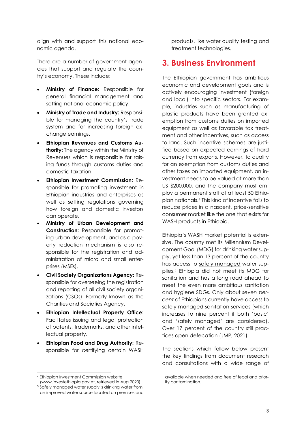align with and support this national economic agenda.

There are a number of government agencies that support and regulate the country's economy. These include:

- **Ministry of Finance:** Responsible for general financial management and setting national economic policy.
- **Ministry of Trade and Industry:** Responsible for managing the country's trade system and for increasing foreign exchange earnings.
- **Ethiopian Revenues and Customs Authority:** The agency within the Ministry of Revenues which is responsible for raising funds through customs duties and domestic taxation.
- **Ethiopian Investment Commission:** Responsible for promoting investment in Ethiopian industries and enterprises as well as setting regulations governing how foreign and domestic investors can operate.
- **Ministry of Urban Development and Construction:** Responsible for promoting urban development, and as a poverty reduction mechanism is also responsible for the registration and administration of micro and small enterprises (MSEs).
- **Civil Society Organizations Agency:** Responsible for overseeing the registration and reporting of all civil society organizations (CSOs). Formerly known as the Charities and Societies Agency.
- **Ethiopian Intellectual Property Office:**  Facilitates issuing and legal protection of patents, trademarks, and other intellectual property.
- **Ethiopian Food and Drug Authority:** Responsible for certifying certain WASH

products, like water quality testing and treatment technologies.

### <span id="page-6-0"></span>**3. Business Environment**

The Ethiopian government has ambitious economic and development goals and is actively encouraging investment (foreign and local) into specific sectors. For example, industries such as manufacturing of plastic products have been granted exemption from customs duties on imported equipment as well as favorable tax treatment and other incentives, such as access to land. Such incentive schemes are justified based on expected earnings of hard currency from exports. However, to qualify for an exemption from customs duties and other taxes on imported equipment, an investment needs to be valued at more than US \$200,000, and the company must employ a permanent staff of at least 50 Ethiopian nationals.<sup>4</sup> This kind of incentive fails to reduce prices in a nascent, price-sensitive consumer market like the one that exists for WASH products in Ethiopia.

Ethiopia's WASH market potential is extensive. The country met its Millennium Development Goal (MDG) for drinking water supply, yet less than 13 percent of the country has access to safely managed water supplies. <sup>5</sup> Ethiopia did not meet its MDG for sanitation and has a long road ahead to meet the even more ambitious sanitation and hygiene SDGs. Only about *seven percent* of Ethiopians currently have access to safely managed sanitation services (which increases to nine percent if both 'basic' and 'safely managed' are considered). Over 17 percent of the country still practices open defecation (JMP, 2021).

The sections which follow below present the key findings from document research and consultations with a wide range of

<sup>4</sup> Ethiopian Investment Commission website

[<sup>\(</sup>www.investethiopia.gov.et,](http://(www.investethiopia.gov.et/) retrieved in Aug 2020) <sup>5</sup> Safely managed water supply is drinking water from an improved water source located on premises and

available when needed and free of fecal and priority contamination.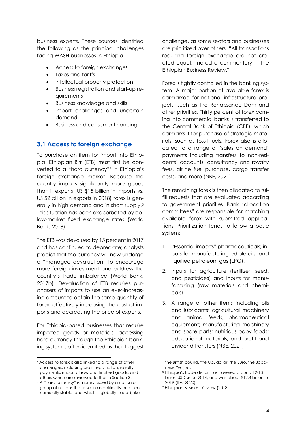business experts. These sources identified the following as the principal challenges facing WASH businesses in Ethiopia:

- Access to foreign exchange<sup>6</sup>
- Taxes and tariffs
- Intellectual property protection
- Business registration and start-up requirements
- Business knowledge and skills
- Import challenges and uncertain demand
- <span id="page-7-0"></span>• Business and consumer financing

#### **3.1 Access to foreign exchange**

To purchase an item for import into Ethiopia, Ethiopian Birr (ETB) must first be converted to a "hard currency"<sup>7</sup> in Ethiopia's foreign exchange market. Because the country imports significantly more goods than it exports (US \$15 billion in imports vs. US \$2 billion in exports in 2018) forex is generally in high demand and in short supply. 8 This situation has been exacerbated by below-market fixed exchange rates (World Bank, 2018).

The ETB was devalued by 15 percent in 2017 and has continued to depreciate; analysts predict that the currency will now undergo a "managed devaluation" to encourage more foreign investment and address the country's trade imbalance (World Bank, 2017b). Devaluation of ETB requires purchasers of imports to use an ever-increasing amount to obtain the same quantity of forex, effectively increasing the cost of imports and decreasing the price of exports.

For Ethiopia-based businesses that require imported goods or materials, accessing hard currency through the Ethiopian banking system is often identified as their biggest challenge, as some sectors and businesses are prioritized over others. "All transactions requiring foreign exchange are not created equal," noted a commentary in the Ethiopian Business Review. 9

Forex is tightly controlled in the banking system. A major portion of available forex is earmarked for national infrastructure projects, such as the Renaissance Dam and other priorities. Thirty percent of forex coming into commercial banks is transferred to the Central Bank of Ethiopia (CBE), which earmarks it for purchase of strategic materials, such as fossil fuels. Forex also is allocated to a range of 'sales on demand' payments including transfers to non-residents' accounts, consultancy and royalty fees, airline fuel purchase, cargo transfer costs, and more (NBE, 2021).

The remaining forex is then allocated to fulfill requests that are evaluated according to government priorities. Bank "allocation committees" are responsible for matching available forex with submitted applications. Prioritization tends to follow a basic system:

- 1. "Essential imports" pharmaceuticals; inputs for manufacturing edible oils; and liquified petroleum gas (LPG).
- 2. Inputs for agriculture (fertilizer, seed, and pesticides) and inputs for manufacturing (raw materials and chemicals).
- 3. A range of other items including oils and lubricants; agricultural machinery and animal feeds; pharmaceutical equipment; manufacturing machinery and spare parts; nutritious baby foods; educational materials; and profit and dividend transfers (NBE, 2021).

<sup>6</sup> Access to forex is also linked to a range of other challenges, including profit repatriation, royalty payments, import of raw and finished goods, and others which are reviewed further in Section 3.

<sup>&</sup>lt;sup>7</sup> A "hard currency" is money issued by a nation or group of nations that is seen as politically and economically stable, and which is globally traded, like

the British pound, the U.S. dollar, the Euro, the Japanese Yen, etc.

<sup>8</sup> Ethiopia's trade deficit has hovered around 12-13 billion USD since 2014, and was about \$12.4 billion in 2019 (ITA, 2020).

<sup>9</sup> Ethiopian Business Review (2018).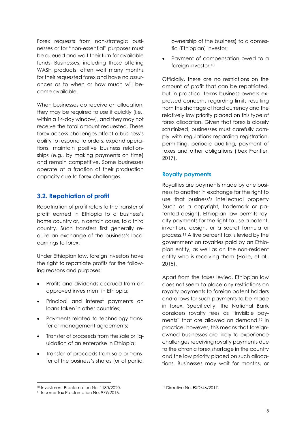Forex requests from non-strategic businesses or for "non-essential" purposes must be queued and wait their turn for available funds. Businesses, including those offering WASH products, often wait many months for their requested forex and have no assurances as to when or how much will become available.

When businesses do receive an allocation, they may be required to use it quickly (i.e., within a 14-day window), and they may not receive the total amount requested. These forex access challenges affect a business's ability to respond to orders, expand operations, maintain positive business relationships (e.g., by making payments on time) and remain competitive. Some businesses operate at a fraction of their production capacity due to forex challenges.

#### <span id="page-8-0"></span>**3.2. Repatriation of profit**

Repatriation of profit refers to the transfer of profit earned in Ethiopia to a business's home country or, in certain cases, to a third country. Such transfers first generally require an exchange of the business's local earnings to forex.

Under Ethiopian law, foreign investors have the right to repatriate profits for the following reasons and purposes:

- Profits and dividends accrued from an approved investment in Ethiopia;
- Principal and interest payments on loans taken in other countries;
- Payments related to technology transfer or management agreements;
- Transfer of proceeds from the sale or liquidation of an enterprise in Ethiopia;
- Transfer of proceeds from sale or transfer of the business's shares (or of partial

ownership of the business) to a domestic (Ethiopian) investor;

• Payment of compensation owed to a foreign investor.<sup>10</sup>

Officially, there are no restrictions on the amount of profit that can be repatriated, but in practical terms business owners expressed concerns regarding limits resulting from the shortage of hard currency and the relatively low priority placed on this type of forex allocation. Given that forex is closely scrutinized, businesses must carefully comply with regulations regarding registration, permitting, periodic auditing, payment of taxes and other obligations (Ibex Frontier, 2017).

#### **Royalty payments**

Royalties are payments made by one business to another in exchange for the right to use that business's intellectual property (such as a copyright, trademark or patented design). Ethiopian law permits royalty payments for the right to use a patent, invention, design, or a secret formula or process.<sup>11</sup> A five percent tax is levied by the government on royalties paid by an Ethiopian entity, as well as on the non-resident entity who is receiving them (Haile, et al., 2018).

Apart from the taxes levied, Ethiopian law does not seem to place any restrictions on royalty payments to foreign patent holders and allows for such payments to be made in forex. Specifically, the National Bank considers royalty fees as "invisible payments" that are allowed on demand.<sup>12</sup> In practice, however, this means that foreignowned businesses are likely to experience challenges receiving royalty payments due to the chronic forex shortage in the country and the low priority placed on such allocations. Businesses may wait for months, or

<sup>10</sup> Investment Proclamation No. 1180/2020.

<sup>11</sup> Income Tax Proclamation No. 979/2016.

<sup>12</sup> Directive No. FXD/46/2017.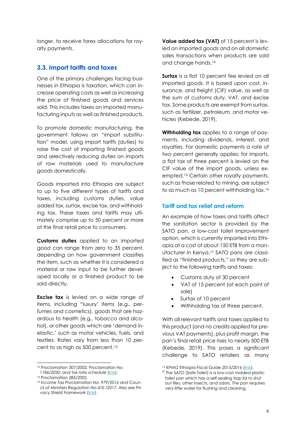longer, to receive forex allocations for royalty payments.

#### <span id="page-9-0"></span>**3.3. Import tariffs and taxes**

One of the primary challenges facing businesses in Ethiopia is taxation, which can increase operating costs as well as increasing the price of finished goods and services sold. This includes taxes on imported manufacturing inputs as well as finished products.

To promote domestic manufacturing, the government follows an "import substitution" model, using import tariffs (duties) to raise the cost of importing finished goods and selectively reducing duties on imports of raw materials used to manufacture goods domestically.

Goods imported into Ethiopia are subject to up to five different types of tariffs and taxes, including customs duties, value added tax, surtax, excise tax, and withholding tax. These taxes and tariffs may ultimately comprise up to 50 percent or more of the final retail price to consumers.

**Customs duties** applied to an imported good can range from zero to 35 percent, depending on how government classifies the item, such as whether it is considered a material or raw input to be further developed locally or a finished product to be sold directly.

**Excise tax** is levied on a wide range of items, including "luxury' items (e.g., perfumes and cosmetics), goods that are hazardous to health (e.g., tobacco and alcohol), or other goods which are 'demand inelastic,' such as motor vehicles, fuels, and textiles. Rates vary from less than 10 percent to as high as 500 percent. 13

**Value added tax (VAT)** of 15 percent is levied on imported goods and on all domestic sales transactions when products are sold and change hands. 14

**Surtax** is a flat 10 percent fee levied on all imported goods. It is based upon cost, insurance, and freight (CIF) value, as well as the sum of customs duty, VAT, and excise tax. Some products are exempt from surtax, such as fertilizer, petroleum, and motor vehicles (Kebede, 2019).

**Withholding tax** applies to a range of payments, including dividends, interest, and royalties. For domestic payments a rate of two percent generally applies; for imports, a flat tax of three percent is levied on the CIF value of the import goods, unless exempted.<sup>15</sup> Certain other royalty payments, such as those related to mining, are subject to as much as 10 percent withholding tax.<sup>16</sup>

#### **Tariff and tax relief and reform**

An example of how taxes and tariffs affect the sanitation sector is provided by the SATO pan, a low-cost toilet improvement option, which is currently imported into Ethiopia at a cost of about 150 ETB from a manufacturer in Kenya. <sup>17</sup> SATO pans are classified as "finished products," so they are subject to the following tariffs and taxes:

- Customs duty of 30 percent
- VAT of 15 percent (at each point of sale)
- Surtax of 10 percent
- Withholding tax of three percent.

With all relevant tariffs and taxes applied to this product (and no credits applied for previous VAT payments), plus profit margin, the pan's final retail price rises to nearly 500 ETB (Kebede, 2019). This poses a significant challenge to SATO retailers as many

<sup>13</sup> Proclamation 307/2002; Proclamation No.

<sup>1186/2020;</sup> and tax rate schedule [\(link\)](https://www.mtalawoffice.com/images/files/Excise_Tax_Rate.pdf). 14 Proclamation 285/2002.

<sup>15</sup> Income Tax Proclamation No. 979/2016 and Council of Ministers Regulation No.410 /2017. Also see Pri-vacy Shield Framework [\(link\)](https://www.privacyshield.gov/article?id=Ethiopia-Pricing).

<sup>16</sup> KPMG Ethiopia Fiscal Guide 2015/2016 [\(link\)](https://assets.kpmg/content/dam/kpmg/pdf/2016/05/Ethiopia-Fiscal-Guide-2015-2016.pdf).

<sup>&</sup>lt;sup>17</sup> The SATO (Safe Toilet) is a low-cost molded plastic toilet pan which has a self-sealing trap lid to shut out flies, other insects, and odors. The pan requires very little water for flushing and cleaning.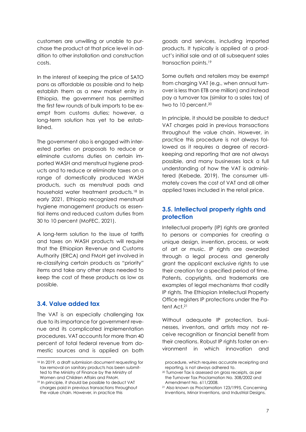customers are unwilling or unable to purchase the product at that price level in addition to other installation and construction costs.

In the interest of keeping the price of SATO pans as affordable as possible and to help establish them as a new market entry in Ethiopia, the government has permitted the first few rounds of bulk imports to be exempt from customs duties; however, a long-term solution has yet to be established.

The government also is engaged with interested parties on proposals to reduce or eliminate customs duties on certain imported WASH and menstrual hygiene products and to reduce or eliminate taxes on a range of domestically produced WASH products, such as menstrual pads and household water treatment products. <sup>18</sup> In early 2021, Ethiopia recognized menstrual hygiene management products as essential items and reduced custom duties from 30 to 10 percent (MoFEC, 2021).

A long-term solution to the issue of tariffs and taxes on WASH products will require that the Ethiopian Revenue and Customs Authority (ERCA) and FMoH get involved in re-classifying certain products as "priority" items and take any other steps needed to keep the cost of these products as low as possible.

#### <span id="page-10-0"></span>**3.4. Value added tax**

The VAT is an especially challenging tax due to its importance for government revenue and its complicated implementation procedures. VAT accounts for more than 40 percent of total federal revenue from domestic sources and is applied on both goods and services, including imported products. It typically is applied at a product's initial sale and at all subsequent sales transaction points. 19

Some outlets and retailers may be exempt from charging VAT (e.g., when annual turnover is less than ETB one million) and instead pay a turnover tax (similar to a sales tax) of two to 10 percent. 20

In principle, it should be possible to deduct VAT charges paid in previous transactions throughout the value chain. However, in practice this procedure is not always followed as it requires a degree of recordkeeping and reporting that are not always possible, and many businesses lack a full understanding of how the VAT is administered (Kebede, 2019). The consumer ultimately covers the cost of VAT and all other applied taxes included in the retail price.

#### <span id="page-10-1"></span>**3.5. Intellectual property rights and protection**

Intellectual property (IP) rights are granted to persons or companies for creating a unique design, invention, process, or work of art or music. IP rights are awarded through a legal process and generally grant the applicant exclusive rights to use their creation for a specified period of time. Patents, copyrights, and trademarks are examples of legal mechanisms that codify IP rights. The Ethiopian Intellectual Property Office registers IP protections under the Patent Act.<sup>21</sup>

Without adequate IP protection, businesses, inventors, and artists may not receive recognition or financial benefit from their creations. Robust IP rights foster an environment in which innovation and

<sup>18</sup> In 2019, a draft submission document requesting for tax removal on sanitary products has been submitted to the Ministry of Finance by the Ministry of Women and Children Affairs and FMoH.

<sup>19</sup> In principle, it should be possible to deduct VAT charges paid in previous transactions throughout the value chain. However, in practice this

procedure, which requires accurate receipting and reporting, is not always adhered to.

<sup>20</sup> Turnover Tax is assessed on gross receipts, as per the Turnover Tax Proclamation No. 308/2002 and Amendment No. 611/2008.

<sup>21</sup> Also known as Proclamation 123/1995, Concerning Inventions, Minor Inventions, and Industrial Designs.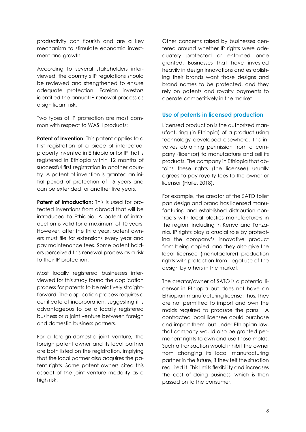productivity can flourish and are a key mechanism to stimulate economic investment and growth.

According to several stakeholders interviewed, the country's IP regulations should be reviewed and strengthened to ensure adequate protection. Foreign investors identified the annual IP renewal process as a significant risk.

Two types of IP protection are most common with respect to WASH products:

**Patent of Invention:** This patent applies to a first registration of a piece of intellectual property invented in Ethiopia or for IP that is registered in Ethiopia within 12 months of successful first registration in another country. A patent of invention is granted an initial period of protection of 15 years and can be extended for another five years.

**Patent of Introduction:** This is used for protected inventions from abroad that will be introduced to Ethiopia. A patent of introduction is valid for a maximum of 10 years. However, after the third year, patent owners must file for extensions every year and pay maintenance fees. Some patent holders perceived this renewal process as a risk to their IP protection.

Most locally registered businesses interviewed for this study found the application process for patents to be relatively straightforward. The application process requires a certificate of incorporation, suggesting it is advantageous to be a locally registered business or a joint venture between foreign and domestic business partners.

For a foreign-domestic joint venture, the foreign patent owner and its local partner are both listed on the registration, implying that the local partner also acquires the patent rights. Some patent owners cited this aspect of the joint venture modality as a high risk.

Other concerns raised by businesses centered around whether IP rights were adequately protected or enforced once granted. Businesses that have invested heavily in design innovations and establishing their brands want those designs and brand names to be protected, and they rely on patents and royalty payments to operate competitively in the market.

#### **Use of patents in licensed production**

Licensed production is the authorized manufacturing (in Ethiopia) of a product using technology developed elsewhere. This involves obtaining permission from a company (licensor) to manufacture and sell its products. The company in Ethiopia that obtains these rights (the licensee) usually agrees to pay royalty fees to the owner or licensor (Haile, 2018).

For example, the creator of the SATO toilet pan design and brand has licensed manufacturing and established distribution contracts with local plastics manufacturers in the region, including in Kenya and Tanzania. IP rights play a crucial role by protecting the company's innovative product from being copied, and they also give the local licensee (manufacturer) production rights with protection from illegal use of the design by others in the market.

The creator/owner of SATO is a potential licensor in Ethiopia but does not have an Ethiopian manufacturing license; thus, they are not permitted to import and own the molds required to produce the pans. A contracted local licensee could purchase and import them, but under Ethiopian law, that company would also be granted permanent rights to own and use those molds. Such a transaction would inhibit the owner from changing its local manufacturing partner in the future, if they felt the situation required it. This limits flexibility and increases the cost of doing business, which is then passed on to the consumer.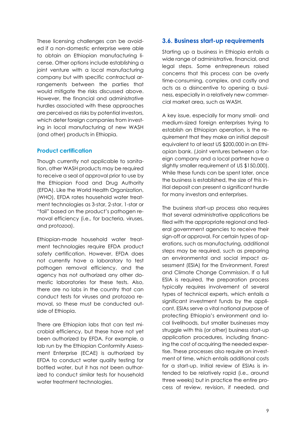These licensing challenges can be avoided if a non-domestic enterprise were able to obtain an Ethiopian manufacturing license. Other options include establishing a joint venture with a local manufacturing company but with specific contractual arrangements between the parties that would mitigate the risks discussed above. However, the financial and administrative hurdles associated with these approaches are perceived as risks by potential investors, which deter foreign companies from investing in local manufacturing of new WASH (and other) products in Ethiopia.

#### **Product certification**

Though currently not applicable to sanitation, other WASH products may be required to receive a seal of approval prior to use by the Ethiopian Food and Drug Authority (EFDA). Like the World Health Organization, (WHO), EFDA rates household water treatment technologies as 3-star, 2-star, 1-star or "fail" based on the product's pathogen removal efficiency (i.e., for bacteria, viruses, and protozoa).

Ethiopian-made household water treatment technologies require EFDA product safety certification. However, EFDA does not currently have a laboratory to test pathogen removal efficiency, and the agency has not authorized any other domestic laboratories for these tests. Also, there are no labs in the country that can conduct tests for viruses and protozoa removal, so these must be conducted outside of Ethiopia.

There are Ethiopian labs that can test microbial efficiency, but these have not yet been authorized by EFDA. For example, a lab run by the Ethiopian Conformity Assessment Enterprise (ECAE) is authorized by EFDA to conduct water quality testing for bottled water, but it has not been authorized to conduct similar tests for household water treatment technologies.

#### <span id="page-12-0"></span>**3.6. Business start-up requirements**

Starting up a business in Ethiopia entails a wide range of administrative, financial, and legal steps. Some entrepreneurs raised concerns that this process can be overly time-consuming, complex, and costly and acts as a disincentive to opening a business, especially in a relatively new commercial market area, such as WASH.

A key issue, especially for many small- and medium-sized foreign enterprises trying to establish an Ethiopian operation, is the requirement that they make an initial deposit equivalent to at least US \$200,000 in an Ethiopian bank. (Joint ventures between a foreign company and a local partner have a slightly smaller requirement of US \$150,000). While these funds can be spent later, once the business is established, the size of this initial deposit can present a significant hurdle for many investors and enterprises.

The business start-up process also requires that several administrative applications be filed with the appropriate regional and federal government agencies to receive their sign-off or approval. For certain types of operations, such as manufacturing, additional steps may be required, such as preparing an environmental and social impact assessment (ESIA) for the Environment, Forest and Climate Change Commission. If a full ESIA is required, the preparation process typically requires involvement of several types of technical experts, which entails a significant investment funds by the applicant. ESIAs serve a vital national purpose of protecting Ethiopia's environment and local livelihoods, but smaller businesses may struggle with this (or other) business start-up application procedures, including financing the cost of acquiring the needed expertise. These processes also require an investment of time, which entails additional costs for a start-up. Initial review of ESIAs is intended to be relatively rapid (i.e., around three weeks) but in practice the entire process of review, revision, if needed, and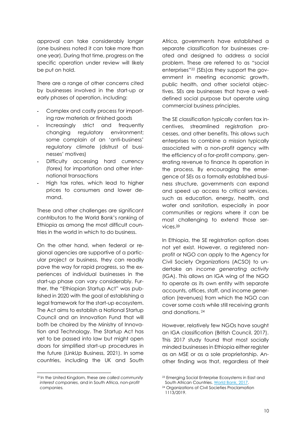approval can take considerably longer (one business noted it can take more than one year). During that time, progress on the specific operation under review will likely be put on hold.

There are a range of other concerns cited by businesses involved in the start-up or early phases of operation, including:

- Complex and costly process for importing raw materials or finished goods
- Increasingly strict and frequently changing regulatory environment: some complain of an 'anti-business' regulatory climate (distrust of businesses' motives)
- Difficulty accessing hard currency (forex) for importation and other international transactions
- High tax rates, which lead to higher prices to consumers and lower demand.

These and other challenges are significant contributors to the World Bank's ranking of Ethiopia as among the most difficult countries in the world in which to do business.

On the other hand, when federal or regional agencies are supportive of a particular project or business, they can readily pave the way for rapid progress, so the experiences of individual businesses in the start-up phase can vary considerably. Further, the "Ethiopian Startup Act" was published in 2020 with the goal of establishing a legal framework for the start-up ecosystem. The Act aims to establish a National Startup Council and an Innovation Fund that will both be chaired by the Ministry of Innovation and Technology. The Startup Act has yet to be passed into law but might open doors for simplified start-up procedures in the future (LinkUp Business, 2021). In some countries, including the UK and South Africa, governments have established a separate classification for businesses created and designed to address a social problem. These are referred to as "social enterprises" <sup>22</sup> (SEs)as they support the government in meeting economic growth, public health, and other societal objectives. SEs are businesses that have a welldefined social purpose but operate using commercial business principles.

The SE classification typically confers tax incentives, streamlined registration processes, and other benefits. This allows such enterprises to combine a mission typically associated with a non-profit agency with the efficiency of a for-profit company, generating revenue to finance its operation in the process. By encouraging the emergence of SEs as a formally established business structure, governments can expand and speed up access to critical services, such as education, energy, health, and water and sanitation, especially in poor communities or regions where it can be most challenging to extend those services. 23

In Ethiopia, the SE registration option does not yet exist. However, a registered nonprofit or NGO can apply to the Agency for Civil Society Organizations (ACSO) to undertake an *income generating activity* (IGA). This allows an IGA wing of the NGO to operate as its own entity with separate accounts, offices, staff, and income generation (revenues) from which the NGO can cover some costs while still receiving grants and donations. <sup>24</sup>

However, relatively few NGOs have sought an IGA classification (British Council, 2017). This 2017 study found that most socially minded businesses in Ethiopia either register as an MSE or as a sole proprietorship. Another finding was that, regardless of their

<sup>22</sup> In the United Kingdom, these are *called community interest companies*, and in South Africa, *non-profit companies.*

<sup>23</sup> Emerging Social Enterprise Ecosystems in East and South African Countries[. World Bank, 2017.](https://openknowledge.worldbank.org/handle/10986/26672)

<sup>24</sup> Organizations of Civil Societies Proclamation 1113/2019.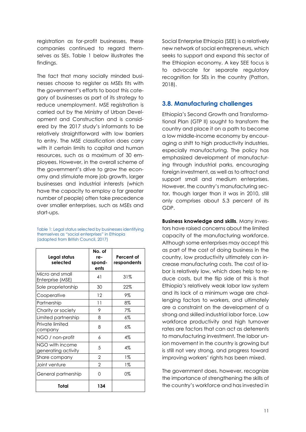registration as for-profit businesses, these companies continued to regard themselves as SEs. Table 1 below illustrates the findings.

The fact that many socially minded businesses choose to register as MSEs fits with the government's efforts to boost this category of businesses as part of its strategy to reduce unemployment. MSE registration is carried out by the Ministry of Urban Development and Construction and is considered by the 2017 study's informants to be relatively straightforward with low barriers to entry. The MSE classification does carry with it certain limits to capital and human resources, such as a maximum of 30 employees. However, in the overall scheme of the government's drive to grow the economy and stimulate more job growth, larger businesses and industrial interests (which have the capacity to employ a far greater number of people) often take precedence over smaller enterprises, such as MSEs and start-ups.

Table 1: Legal status selected by businesses identifying themselves as "social enterprises" in Ethiopia (adapted from British Council, 2017)

| Legal status<br>selected               | No. of<br>re-<br>spond-<br>ents | Percent of<br>respondents |
|----------------------------------------|---------------------------------|---------------------------|
| Micro and small<br>Enterprise (MSE)    | 41                              | 31%                       |
| Sole proprietorship                    | 30                              | 22%                       |
| Cooperative                            | 12                              | 9%                        |
| Partnership                            | 11                              | 8%                        |
| Charity or society                     | 9                               | 7%                        |
| Limited partnership                    | 8                               | 6%                        |
| Private limited<br>company             | 8                               | 6%                        |
| NGO / non-profit                       | 6                               | $4\%$                     |
| NGO with income<br>generating activity | 5                               | 4%                        |
| Share company                          | $\overline{2}$                  | 1%                        |
| Joint venture                          | $\overline{2}$                  | $1\%$                     |
| General partnership                    | U                               | 0%                        |
| Total                                  | 134                             |                           |

Social Enterprise Ethiopia (SEE) is a relatively new network of social entrepreneurs, which seeks to support and expand this sector of the Ethiopian economy. A key SEE focus is to advocate for separate regulatory recognition for SEs in the country (Patton, 2018).

#### <span id="page-14-0"></span>**3.8. Manufacturing challenges**

Ethiopia's Second Growth and Transformational Plan (GTP II) sought to transform the country and place it on a path to become a low middle-income economy by encouraging a shift to high productivity industries, especially manufacturing. The policy has emphasized development of manufacturing through industrial parks, encouraging foreign investment, as well as to attract and support small and medium enterprises. However, the country's manufacturing sector, though larger than it was in 2010, still only comprises about 5.3 percent of its GDP.

**Business knowledge and skills***.* Many investors have raised concerns about the limited capacity of the manufacturing workforce. Although some enterprises may accept this as part of the cost of doing business in the country, low productivity ultimately can increase manufacturing costs. The cost of labor is relatively low, which does help to reduce costs, but the flip side of this is that Ethiopia's relatively weak labor law system and its lack of a minimum wage are challenging factors to workers, and ultimately are a constraint on the development of a strong and skilled industrial labor force. Low workforce productivity and high turnover rates are factors that can act as deterrents to manufacturing investment. The labor union movement in the country is growing but is still not very strong, and progress toward improving workers' rights has been mixed.

The government does, however, recognize the importance of strengthening the skills of the country's workforce and has invested in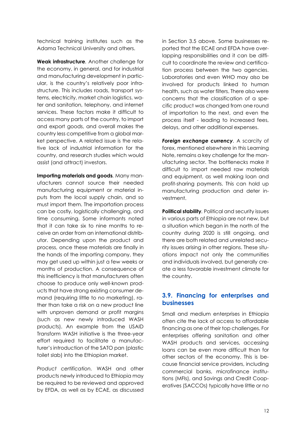technical training institutes such as the Adama Technical University and others.

**Weak infrastructure***.* Another challenge for the economy, in general, and for industrial and manufacturing development in particular, is the country's relatively poor infrastructure. This includes roads, transport systems, electricity, market chain logistics, water and sanitation, telephony, and internet services. These factors make it difficult to access many parts of the country, to import and export goods, and overall makes the country less competitive from a global market perspective. A related issue is the relative lack of industrial information for the country, and research studies which would assist (and attract) investors.

**Importing materials and goods***.* Many manufacturers cannot source their needed manufacturing equipment or material inputs from the local supply chain, and so must import them. The importation process can be costly, logistically challenging, and time consuming. Some informants noted that it can take six to nine months to receive an order from an international distributor. Depending upon the product and process, once these materials are finally in the hands of the importing company, they may get used up within just a few weeks or months of production. A consequence of this inefficiency is that manufacturers often choose to produce only well-known products that have strong existing consumer demand (requiring little to no marketing), rather than take a risk on a new product line with unproven demand or profit margins (such as new newly introduced WASH products). An example from the USAID Transform WASH initiative is the three-year effort required to facilitate a manufacturer's introduction of the SATO pan (plastic toilet slab) into the Ethiopian market.

*Product certification.* WASH and other products newly introduced to Ethiopia may be required to be reviewed and approved by EFDA, as well as by ECAE, as discussed

in Section 3.5 above. Some businesses reported that the ECAE and EFDA have overlapping responsibilities and it can be difficult to coordinate the review and certification process between the two agencies. Laboratories and even WHO may also be involved for products linked to human health, such as water filters. There also were concerns that the classification of a specific product was changed from one round of importation to the next, and even the process itself - leading to increased fees, delays, and other additional expenses.

*Foreign exchange currency.* A scarcity of forex, mentioned elsewhere in this Learning Note, remains a key challenge for the manufacturing sector. The bottlenecks make it difficult to import needed raw materials and equipment, as well making loan and profit-sharing payments. This can hold up manufacturing production and deter investment.

**Political stability***.* Political and security issues in various parts of Ethiopia are not new, but a situation which began in the north of the country during 2020 is still ongoing, and there are both related and unrelated security issues arising in other regions. These situations impact not only the communities and individuals involved, but generally create a less favorable investment climate for the country.

#### <span id="page-15-0"></span>**3.9. Financing for enterprises and businesses**

Small and medium enterprises in Ethiopia often cite the lack of access to affordable financing as one of their top challenges. For enterprises offering sanitation and other WASH products and services, accessing loans can be even more difficult than for other sectors of the economy. This is because financial service providers, including commercial banks, microfinance institutions (MFIs), and Savings and Credit Cooperatives (SACCOs) typically have little or no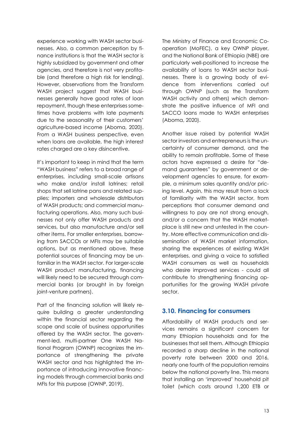experience working with WASH sector businesses. Also, a common perception by finance institutions is that the WASH sector is highly subsidized by government and other agencies, and therefore is not very profitable (and therefore a high risk for lending). However, observations from the Transform WASH project suggest that WASH businesses generally have good rates of loan repayment, though these enterprises sometimes have problems with late payments due to the seasonality of their customers' agriculture-based income (Aboma, 2020). From a WASH business perspective, even when loans are available, the high interest rates charged are a key disincentive.

It's important to keep in mind that the term "WASH business" refers to a broad range of enterprises, including small-scale artisans who make and/or install latrines; retail shops that sell latrine pans and related supplies; importers and wholesale distributors of WASH products; and commercial manufacturing operations. Also, many such businesses not only offer WASH products and services, but also manufacture and/or sell other items. For smaller enterprises, borrowing from SACCOs or MFIs may be suitable options, but as mentioned above, these potential sources of financing may be unfamiliar in the WASH sector. For larger-scale WASH product manufacturing, financing will likely need to be secured through commercial banks (or brought in by foreign joint-venture partners).

Part of the financing solution will likely require building a greater understanding within the financial sector regarding the scope and scale of business opportunities offered by the WASH sector. The government-led, multi-partner One WASH National Program (OWNP) recognizes the importance of strengthening the private WASH sector and has highlighted the importance of introducing innovative financing models through commercial banks and MFIs for this purpose (OWNP, 2019).

The Ministry of Finance and Economic Cooperation (MoFEC), a key OWNP player, and the National Bank of Ethiopia (NBE) are particularly well-positioned to increase the availability of loans to WASH sector businesses. There is a growing body of evidence from interventions carried out through OWNP (such as the Transform WASH activity and others) which demonstrate the positive influence of MFI and SACCO loans made to WASH enterprises (Aboma, 2020).

Another issue raised by potential WASH sector investors and entrepreneurs is the uncertainty of consumer demand, and the ability to remain profitable. Some of these actors have expressed a desire for "demand guarantees" by government or development agencies to ensure, for example, a minimum sales quantity and/or pricing level. Again, this may result from a lack of familiarity with the WASH sector, from perceptions that consumer demand and willingness to pay are not strong enough, and/or a concern that the WASH marketplace is still new and untested in the country. More effective communication and dissemination of WASH market information, sharing the experiences of existing WASH enterprises, and giving a voice to satisfied WASH consumers as well as households who desire improved services - could all contribute to strengthening financing opportunities for the growing WASH private sector.

#### <span id="page-16-0"></span>**3.10. Financing for consumers**

Affordability of WASH products and services remains a significant concern for many Ethiopian households and for the businesses that sell them. Although Ethiopia recorded a sharp decline in the national poverty rate between 2000 and 2016, nearly one fourth of the population remains below the national poverty line. This means that installing an 'improved' household pit toilet (which costs around 1,200 ETB or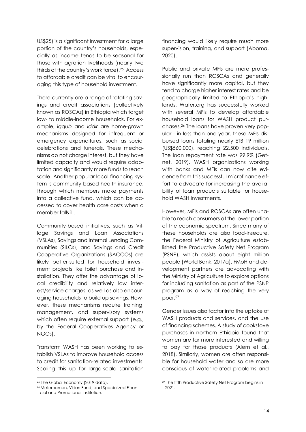US\$25) is a significant investment for a large portion of the country's households, especially as income tends to be seasonal for those with agrarian livelihoods (nearly two thirds of the country's work force).25 Access to affordable credit can be vital to encouraging this type of household investment.

There currently are a range of rotating savings and credit associations (collectively known as ROSCAs) in Ethiopia which target low- to middle-income households. For example, *iqqub* and *iddir* are home-grown mechanisms designed for infrequent or emergency expenditures, such as social celebrations and funerals. These mechanisms do not charge interest, but they have limited capacity and would require adaptation and significantly more funds to reach scale. Another popular local financing system is community-based health insurance, through which members make payments into a collective fund, which can be accessed to cover health care costs when a member falls ill.

Community-based initiatives, such as Village Savings and Loan Associations (VSLAs), Savings and Internal Lending Communities (SILCs), and Savings and Credit Cooperative Organizations (SACCOs) are likely better-suited for household investment projects like toilet purchase and installation. They offer the advantage of local credibility and relatively low interest/service charges, as well as also encouraging households to build up savings. However, these mechanisms require training, management, and supervisory systems which often require external support (e.g., by the Federal Cooperatives Agency or NGOs).

Transform WASH has been working to establish VSLAs to improve household access to credit for sanitation-related investments. Scaling this up for large-scale sanitation financing would likely require much more supervision, training, and support (Aboma, 2020).

Public and private MFIs are more professionally run than ROSCAs and generally have significantly more capital, but they tend to charge higher interest rates and be geographically limited to Ethiopia's highlands. Water.org has successfully worked with several MFIs to develop affordable household loans for WASH product purchases. <sup>26</sup> The loans have proven very popular - in less than one year, these MFIs disbursed loans totaling nearly ETB 19 million (US\$560,000), reaching 22,500 individuals. The loan repayment rate was 99.9% (Getnet, 2019). WASH organizations working with banks and MFIs can now cite evidence from this successful microfinance effort to advocate for increasing the availability of loan products suitable for household WASH investments.

However, MFIs and ROSCAs are often unable to reach consumers at the lower portion of the economic spectrum. Since many of these households are also food-insecure, the Federal Ministry of Agriculture established the Productive Safety Net Program (PSNP), which assists about eight million people (World Bank, 2017a). FMoH and development partners are advocating with the Ministry of Agriculture to explore options for including sanitation as part of the PSNP program as a way of reaching the very poor.<sup>27</sup>

Gender issues also factor into the uptake of WASH products and services, and the use of financing schemes. A study of cookstove purchases in northern Ethiopia found that women are far more interested and willing to pay for those products (Alem et al., 2018). Similarly, women are often responsible for household water and so are more conscious of water-related problems and

<sup>&</sup>lt;sup>25</sup> The Global Economy (2019 data).

<sup>26</sup> Metemamen, Vision Fund, and Specialized Financial and Promotional Institution.

<sup>27</sup> The fifth Productive Safety Net Program begins in 2021.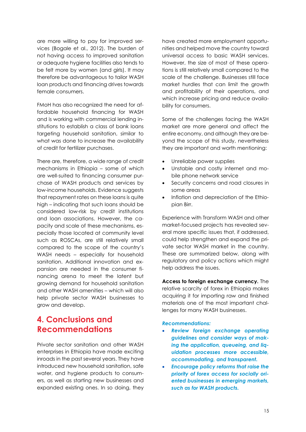are more willing to pay for improved services (Bogale et al., 2012). The burden of not having access to improved sanitation or adequate hygiene facilities also tends to be felt more by women (and girls). It may therefore be advantageous to tailor WASH loan products and financing drives towards female consumers.

FMoH has also recognized the need for affordable household financing for WASH and is working with commercial lending institutions to establish a class of bank loans targeting household sanitation, similar to what was done to increase the availability of credit for fertilizer purchases.

There are, therefore, a wide range of credit mechanisms in Ethiopia – some of which are well-suited to financing consumer purchase of WASH products and services by low-income households. Evidence suggests that repayment rates on these loans is quite high – indicating that such loans should be considered low-risk by credit institutions and loan associations. However, the capacity and scale of these mechanisms, especially those located at community level such as ROSCAs, are still relatively small compared to the scope of the country's WASH needs – especially for household sanitation. Additional innovation and expansion are needed in the consumer financing arena to meet the latent but growing demand for household sanitation and other WASH amenities – which will also help private sector WASH businesses to grow and develop.

## <span id="page-18-0"></span>**4. Conclusions and Recommendations**

Private sector sanitation and other WASH enterprises in Ethiopia have made exciting inroads in the past several years. They have introduced new household sanitation, safe water, and hygiene products to consumers, as well as starting new businesses and expanded existing ones. In so doing, they have created more employment opportunities and helped move the country toward universal access to basic WASH services. However, the size of most of these operations is still relatively small compared to the scale of the challenge. Businesses still face market hurdles that can limit the growth and profitability of their operations, and which increase pricing and reduce availability for consumers.

Some of the challenges facing the WASH market are more general and affect the entire economy, and although they are beyond the scope of this study, nevertheless they are important and worth mentioning:

- Unreliable power supplies
- Unstable and costly internet and mobile phone network service
- Security concerns and road closures in some areas
- Inflation and depreciation of the Ethiopian Birr.

Experience with Transform WASH and other market-focused projects has revealed several more specific issues that, if addressed, could help strengthen and expand the private sector WASH market in the country. These are summarized below, along with regulatory and policy actions which might help address the issues.

**Access to foreign exchange currency.** The relative scarcity of forex in Ethiopia makes acquiring it for importing raw and finished materials one of the most important challenges for many WASH businesses.

#### *Recommendations:*

- *Review foreign exchange operating guidelines and consider ways of making the application, queueing, and liquidation processes more accessible, accommodating, and transparent.*
- *Encourage policy reforms that raise the priority of forex access for socially oriented businesses in emerging markets, such as for WASH products.*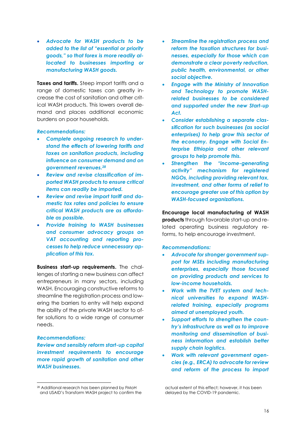• *Advocate for WASH products to be added to the list of "essential or priority goods," so that forex is more readily allocated to businesses importing or manufacturing WASH goods.* 

**Taxes and tariffs.** Steep import tariffs and a range of domestic taxes can greatly increase the cost of sanitation and other critical WASH products. This lowers overall demand and places additional economic burdens on poor households.

#### *Recommendations:*

- *Complete ongoing research to understand the effects of lowering tariffs and taxes on sanitation products, including influence on consumer demand and on government revenues.<sup>28</sup>*
- *Review and revise classification of imported WASH products to ensure critical items can readily be imported.*
- *Review and revise import tariff and domestic tax rates and policies to ensure critical WASH products are as affordable as possible.*
- *Provide training to WASH businesses and consumer advocacy groups on VAT accounting and reporting processes to help reduce unnecessary application of this tax.*

**Business start-up requirements.** The challenges of starting a new business can affect entrepreneurs in many sectors, including WASH. Encouraging constructive reforms to streamline the registration process and lowering the barriers to entry will help expand the ability of the private WASH sector to offer solutions to a wide range of consumer needs.

#### *Recommendations:*

*Review and sensibly reform start-up capital investment requirements to encourage more rapid growth of sanitation and other WASH businesses.*

- *Streamline the registration process and reform the taxation structures for businesses, especially for those which can demonstrate a clear poverty reduction, public health, environmental, or other social objective.*
- *Engage with the Ministry of Innovation and Technology to promote WASHrelated businesses to be considered and supported under the new Start-up Act.*
- *Consider establishing a separate classification for such businesses (as social enterprises) to help grow this sector of the economy. Engage with Social Enterprise Ethiopia and other relevant groups to help promote this.*
- *Strengthen the "income-generating activity" mechanism for registered NGOs, including providing relevant tax, investment, and other forms of relief to encourage greater use of this option by WASH-focused organizations.*

**Encourage local manufacturing of WASH products** through favorable start-up and related operating business regulatory reforms, to help encourage investment.

#### *Recommendations:*

- *Advocate for stronger government support for MSEs including manufacturing enterprises, especially those focused on providing products and services to low-income households.*
- *Work with the TVET system and technical universities to expand WASHrelated training, especially programs aimed at unemployed youth.*
- *Support efforts to strengthen the country's infrastructure as well as to improve monitoring and dissemination of business information and establish better supply chain logistics.*
- *Work with relevant government agencies (e.g., ERCA) to advocate for review and reform of the process to import*

actual extent of this effect; however, it has been delayed by the COVID-19 pandemic.

<sup>28</sup> Additional research has been planned by FMoH and USAID's Transform WASH project to confirm the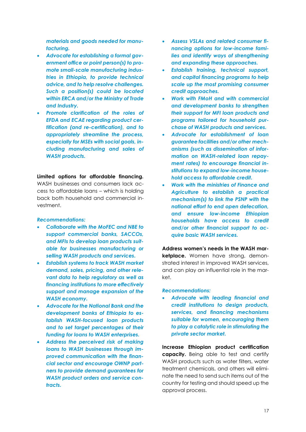*materials and goods needed for manufacturing.* 

- *Advocate for establishing a formal government office or point person(s) to promote small-scale manufacturing industries in Ethiopia, to provide technical advice, and to help resolve challenges. Such a position(s) could be located within ERCA and/or the Ministry of Trade and Industry.*
- *Promote clarification of the roles of EFDA and ECAE regarding product certification (and re-certification), and to appropriately streamline the process, especially for MSEs with social goals, including manufacturing and sales of WASH products.*

#### **Limited options for affordable financing.**

WASH businesses and consumers lack access to affordable loans – which is holding back both household and commercial investment.

#### *Recommendations:*

- *Collaborate with the MoFEC and NBE to support commercial banks, SACCOs, and MFIs to develop loan products suitable for businesses manufacturing or selling WASH products and services.*
- *Establish systems to track WASH market demand, sales, pricing, and other relevant data to help regulatory as well as financing institutions to more effectively support and manage expansion of the WASH economy.*
- *Advocate for the National Bank and the development banks of Ethiopia to establish WASH-focused loan products and to set target percentages of their funding for loans to WASH enterprises.*
- *Address the perceived risk of making loans to WASH businesses through improved communication with the financial sector and encourage OWNP partners to provide demand guarantees for WASH product orders and service contracts.*
- *Assess VSLAs and related consumer financing options for low-income families and identify ways of strengthening and expanding these approaches.*
- *Establish training, technical support, and capital financing programs to help scale up the most promising consumer credit approaches.*
- *Work with FMoH and with commercial and development banks to strengthen their support for MFI loan products and programs tailored for household purchase of WASH products and services.*
- *Advocate for establishment of loan guarantee facilities and/or other mechanisms (such as dissemination of information on WASH-related loan repayment rates) to encourage financial institutions to expand low-income household access to affordable credit.*
- *Work with the ministries of Finance and Agriculture to establish a practical mechanism(s) to link the PSNP with the national effort to end open defecation, and ensure low-income Ethiopian households have access to credit and/or other financial support to acquire basic WASH services.*

**Address women's needs in the WASH mar**ketplace. Women have strong, demonstrated interest in improved WASH services, and can play an influential role in the market.

#### *Recommendations:*

• *Advocate with leading financial and credit institutions to design products, services, and financing mechanisms suitable for women, encouraging them to play a catalytic role in stimulating the private sector market.*

**Increase Ethiopian product certification capacity.** Being able to test and certify WASH products such as water filters, water treatment chemicals, and others will eliminate the need to send such items out of the country for testing and should speed up the approval process.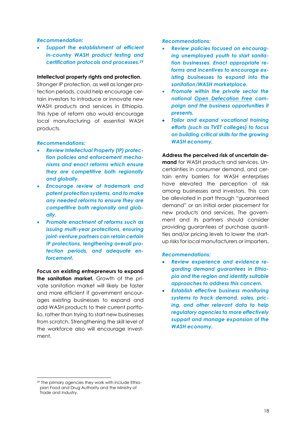#### *Recommendation:*

• *Support the establishment of efficient in-country WASH product testing and certification protocols and processes. 29*

#### **Intellectual property rights and protection.**

Stronger IP protection, as well as longer protection periods, could help encourage certain investors to introduce or innovate new WASH products and services in Ethiopia. This type of reform also would encourage local manufacturing of essential WASH products.

#### *Recommendations:*

- *Review Intellectual Property (IP) protection policies and enforcement mechanisms and enact reforms which ensure they are competitive both regionally and globally.*
- *Encourage review of trademark and patent protection systems, and to make any needed reforms to ensure they are competitive both regionally and globally.*
- *Promote enactment of reforms such as issuing multi-year protections, ensuring joint-venture partners can retain certain IP protections, lengthening overall protection periods, and adequate enforcement.*

**Focus on existing entrepreneurs to expand the sanitation market.** Growth of the private sanitation market will likely be faster and more efficient if government encourages existing businesses to expand and add WASH products to their current portfolio, rather than trying to start new businesses from scratch. Strengthening the skill level of the workforce also will encourage investment.

*Recommendations:*

- *Review policies focused on encouraging unemployed youth to start sanitation businesses. Enact appropriate reforms and incentives to encourage existing businesses to expand into the sanitation/WASH marketplace.*
- *Promote within the private sector the national Open Defecation Free campaign and the business opportunities it presents.*
- *Tailor and expand vocational training efforts (such as TVET colleges) to focus on building critical skills for the growing WASH economy.*

**Address the perceived risk of uncertain demand** for WASH products and services. Uncertainties in consumer demand, and certain entry barriers for WASH enterprises have elevated the perception of risk among businesses and investors. This can be alleviated in part through "guaranteed demand" or an initial order placement for new products and services. The government and its partners should consider providing guarantees of purchase quantities and/or pricing levels to lower the startup risks for local manufacturers or importers.

#### *Recommendations:*

- *Review experience and evidence regarding demand guarantees in Ethiopia and the region and identify suitable approaches to address this concern.*
- *Establish effective business monitoring systems to track demand, sales, pricing, and other relevant data to help regulatory agencies to more effectively support and manage expansion of the WASH economy.*

<sup>29</sup> The primary agencies they work with include Ethiopian Food and Drug Authority and the Ministry of Trade and Industry.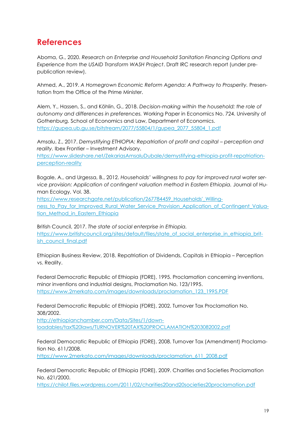### <span id="page-22-0"></span>**References**

Aboma, G., 2020. *Research on Enterprise and Household Sanitation Financing Options and Experience from the USAID Transform WASH Project*. Draft IRC research report (under prepublication review).

Ahmed, A., 2019. *A Homegrown Economic Reform Agenda: A Pathway to Prosperity.* Presentation from the Office of the Prime Minister.

Alem, Y., Hassen, S., and Köhlin, G., 2018. *Decision-making within the household: the role of autonomy and differences in preferences.* Working Paper in Economics No. 724. University of Gothenburg. School of Economics and Law, Department of Economics. [https://gupea.ub.gu.se/bitstream/2077/55804/1/gupea\\_2077\\_55804\\_1.pdf](https://gupea.ub.gu.se/bitstream/2077/55804/1/gupea_2077_55804_1.pdf)

Amsalu, Z., 2017. Demystifying ETHIOPIA: Repatriation of profit and capital – perception and *reality.* Ibex Frontier – Investment Advisory.

[https://www.slideshare.net/ZekariasAmsaluDubale/demystifying-ethiopia-profit-repatriation](https://www.slideshare.net/ZekariasAmsaluDubale/demystifying-ethiopia-profit-repatriation-perception-reality)[perception-reality](https://www.slideshare.net/ZekariasAmsaluDubale/demystifying-ethiopia-profit-repatriation-perception-reality)

Bogale, A., and Urgessa, B., 2012. *Households' willingness to pay for improved rural water service provision: Application of contingent valuation method in Eastern Ethiopia.* Journal of Human Ecology, Vol. 38.

[https://www.researchgate.net/publication/267784459\\_Households'\\_Willing](https://www.researchgate.net/publication/267784459_Households)ness to Pay for Improved Rural Water Service Provision Application of Contingent Valuation Method in Eastern Ethiopia

British Council, 2017. *The state of social enterprise in Ethiopia.* [https://www.britishcouncil.org/sites/default/files/state\\_of\\_social\\_enterprise\\_in\\_ethiopia\\_brit](https://www.britishcouncil.org/sites/default/files/state_of_social_enterprise_in_ethiopia_british_council_final.pdf)[ish\\_council\\_final.pdf](https://www.britishcouncil.org/sites/default/files/state_of_social_enterprise_in_ethiopia_british_council_final.pdf)

Ethiopian Business Review, 2018. Repatriation of Dividends, Capitals in Ethiopia – Perception vs. Reality.

Federal Democratic Republic of Ethiopia (FDRE), 1995. Proclamation concerning inventions, minor inventions and industrial designs, Proclamation No. 123/1995. [https://www.2merkato.com/images/downloads/proclamation\\_123\\_1995.PDF](https://www.2merkato.com/images/downloads/proclamation_123_1995.PDF)

Federal Democratic Republic of Ethiopia (FDRE), 2002. Turnover Tax Proclamation No. 308/2002.

[http://ethiopianchamber.com/Data/Sites/1/down](http://ethiopianchamber.com/Data/Sites/1/downloadables/tax%20laws/TURNOVER%20TAX%20PROCLAMATION%203082002.pdf)[loadables/tax%20laws/TURNOVER%20TAX%20PROCLAMATION%203082002.pdf](http://ethiopianchamber.com/Data/Sites/1/downloadables/tax%20laws/TURNOVER%20TAX%20PROCLAMATION%203082002.pdf)

Federal Democratic Republic of Ethiopia (FDRE), 2008. Turnover Tax (Amendment) Proclamation No. 611/2008.

[https://www.2merkato.com/images/downloads/proclamation\\_611\\_2008.pdf](https://www.2merkato.com/images/downloads/proclamation_611_2008.pdf)

Federal Democratic Republic of Ethiopia (FDRE), 2009. Charities and Societies Proclamation No. 621/2000.

<https://chilot.files.wordpress.com/2011/02/charities20and20societies20proclamation.pdf>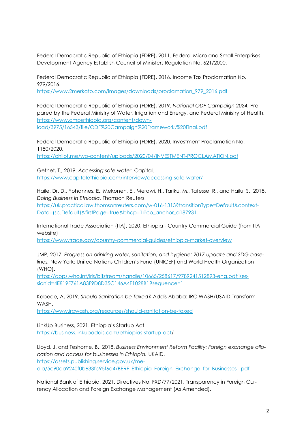Federal Democratic Republic of Ethiopia (FDRE), 2011. Federal Micro and Small Enterprises Development Agency Establish Council of Ministers Regulation No. 621/2000.

Federal Democratic Republic of Ethiopia (FDRE), 2016. Income Tax Proclamation No. 979/2016.

[https://www.2merkato.com/images/downloads/proclamation\\_979\\_2016.pdf](https://www.2merkato.com/images/downloads/proclamation_979_2016.pdf)

Federal Democratic Republic of Ethiopia (FDRE), 2019. *National ODF Campaign 2024.* Prepared by the Federal Ministry of Water, Irrigation and Energy, and Federal Ministry of Health. [https://www.cmpethiopia.org/content/down](https://www.cmpethiopia.org/content/download/3975/16543/file/ODF%20Campaign%20Framework,%20Final.pdf)[load/3975/16543/file/ODF%20Campaign%20Framework,%20Final.pdf](https://www.cmpethiopia.org/content/download/3975/16543/file/ODF%20Campaign%20Framework,%20Final.pdf)

Federal Democratic Republic of Ethiopia (FDRE), 2020. Investment Proclamation No. 1180/2020.

<https://chilot.me/wp-content/uploads/2020/04/INVESTMENT-PROCLAMATION.pdf>

Getnet, T., 2019. *Accessing safe water*. Capital. <https://www.capitalethiopia.com/interview/accessing-safe-water/>

Haile, Dr. D., Yohannes, E., Mekonen, E., Merawi, H., Tariku, M., Tafesse, R., and Hailu, S., 2018. *Doing Business in Ethiopia.* Thomson Reuters.

[https://uk.practicallaw.thomsonreuters.com/w-016-1313?transitionType=Default&context-](https://uk.practicallaw.thomsonreuters.com/w-016-1313?transitionType=Default&contextData=(sc.Default)&firstPage=true&bhcp=1#co_anchor_a187931)[Data=\(sc.Default\)&firstPage=true&bhcp=1#co\\_anchor\\_a187931](https://uk.practicallaw.thomsonreuters.com/w-016-1313?transitionType=Default&contextData=(sc.Default)&firstPage=true&bhcp=1#co_anchor_a187931)

International Trade Association (ITA), 2020. Ethiopia - Country Commercial Guide (from ITA website)

<https://www.trade.gov/country-commercial-guides/ethiopia-market-overview>

JMP, 2017. *Progress on drinking water, sanitation, and hygiene: 2017 update and SDG baselines.* New York: United Nations Children's Fund (UNICEF) and World Health Organization (WHO).

[https://apps.who.int/iris/bitstream/handle/10665/258617/9789241512893-eng.pdf;jses](https://apps.who.int/iris/bitstream/handle/10665/258617/9789241512893-eng.pdf;jsessionid=4E819F761A83F9D8D35C146A4F1028B1?sequence=1)[sionid=4E819F761A83F9D8D35C146A4F1028B1?sequence=1](https://apps.who.int/iris/bitstream/handle/10665/258617/9789241512893-eng.pdf;jsessionid=4E819F761A83F9D8D35C146A4F1028B1?sequence=1)

Kebede, A, 2019. *Should Sanitation be Taxed*? Addis Ababa: IRC WASH/USAID Transform WASH.

<https://www.ircwash.org/resources/should-sanitation-be-taxed>

LinkUp Business, 2021. Ethiopia's Startup Act. [https://business.linkupaddis.com/ethiopias-startup-act/](https://business.linkupaddis.com/ethiopias-startup-act)

Lloyd, J. and Teshome, B., 2018. *Business Environment Reform Facility: Foreign exchange allocation and access for businesses in Ethiopia.* UKAID. [https://assets.publishing.service.gov.uk/me](https://assets.publishing.service.gov.uk/media/5c90aa9240f0b633fc95f6d4/BERF_Ethiopia_Foreign_Exchange_for_Businesses_.pdf)[dia/5c90aa9240f0b633fc95f6d4/BERF\\_Ethiopia\\_Foreign\\_Exchange\\_for\\_Businesses\\_.pdf](https://assets.publishing.service.gov.uk/media/5c90aa9240f0b633fc95f6d4/BERF_Ethiopia_Foreign_Exchange_for_Businesses_.pdf)

National Bank of Ethiopia, 2021. Directives No. FXD/77/2021. Transparency in Foreign Currency Allocation and Foreign Exchange Management (As Amended).